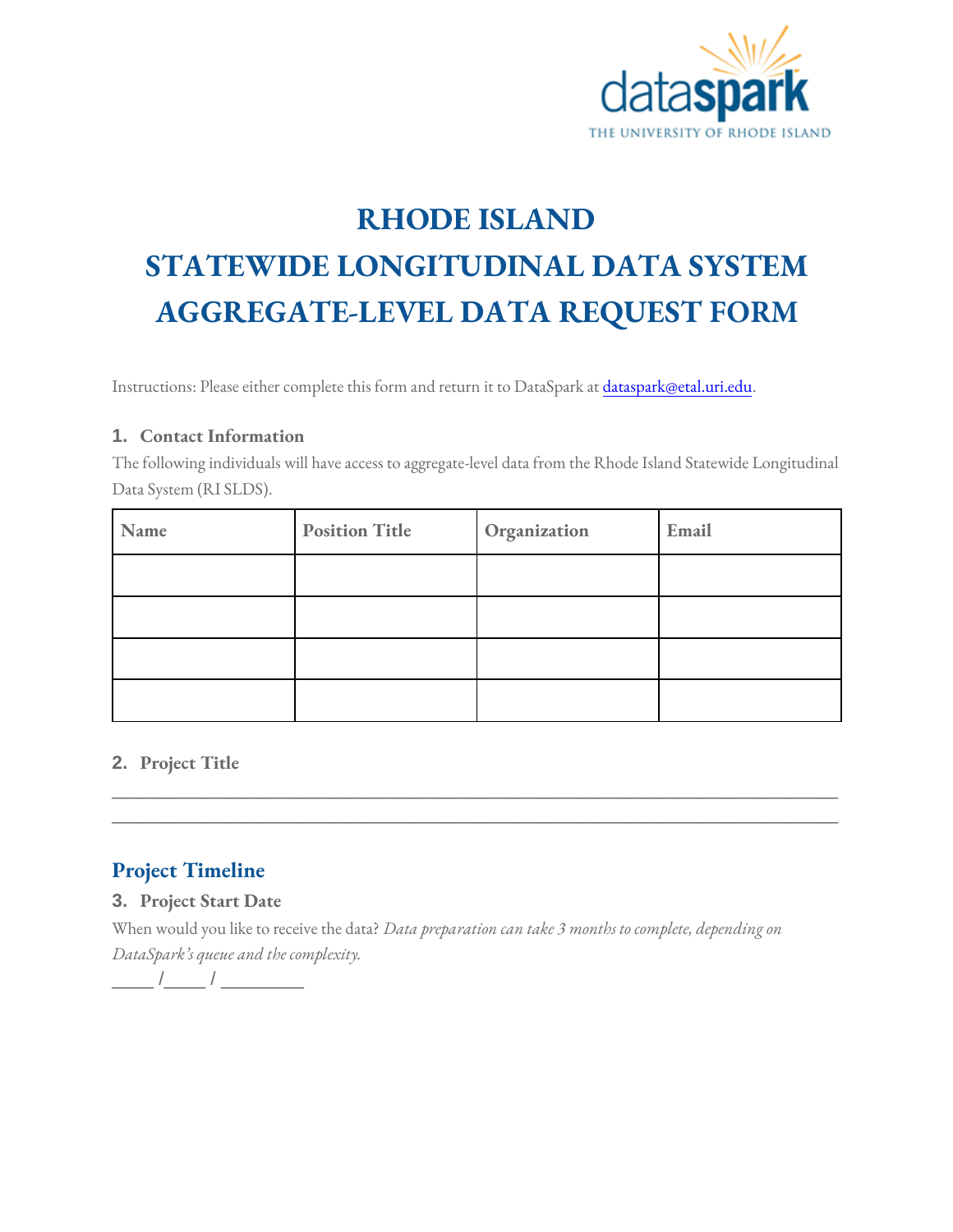

# **RHODE ISLAND**

# **STATEWIDE LONGITUDINAL DATA SYSTEM AGGREGATE-LEVEL DATA REQUEST FORM**

Instructions: Please either complete this form and return it to DataSpark at *dataspark@etal.uri.edu.* 

#### **1. Contact Information**

The following individuals will have access to aggregate-level data from the Rhode Island Statewide Longitudinal Data System (RI SLDS).

| Name | <b>Position Title</b> | Organization | Email |
|------|-----------------------|--------------|-------|
|      |                       |              |       |
|      |                       |              |       |
|      |                       |              |       |
|      |                       |              |       |

\_\_\_\_\_\_\_\_\_\_\_\_\_\_\_\_\_\_\_\_\_\_\_\_\_\_\_\_\_\_\_\_\_\_\_\_\_\_\_\_\_\_\_\_\_\_\_\_\_\_\_\_\_\_\_\_\_\_\_\_\_\_\_\_\_\_\_\_\_\_ \_\_\_\_\_\_\_\_\_\_\_\_\_\_\_\_\_\_\_\_\_\_\_\_\_\_\_\_\_\_\_\_\_\_\_\_\_\_\_\_\_\_\_\_\_\_\_\_\_\_\_\_\_\_\_\_\_\_\_\_\_\_\_\_\_\_\_\_\_\_

#### **2. Project Title**

### **Project Timeline**

#### **3. Project Start Date**

When would you like to receive the data? *Data preparation can take 3 months to complete, depending on DataSpark's queue and the complexity.*

\_\_\_\_ /\_\_\_\_ / \_\_\_\_\_\_\_\_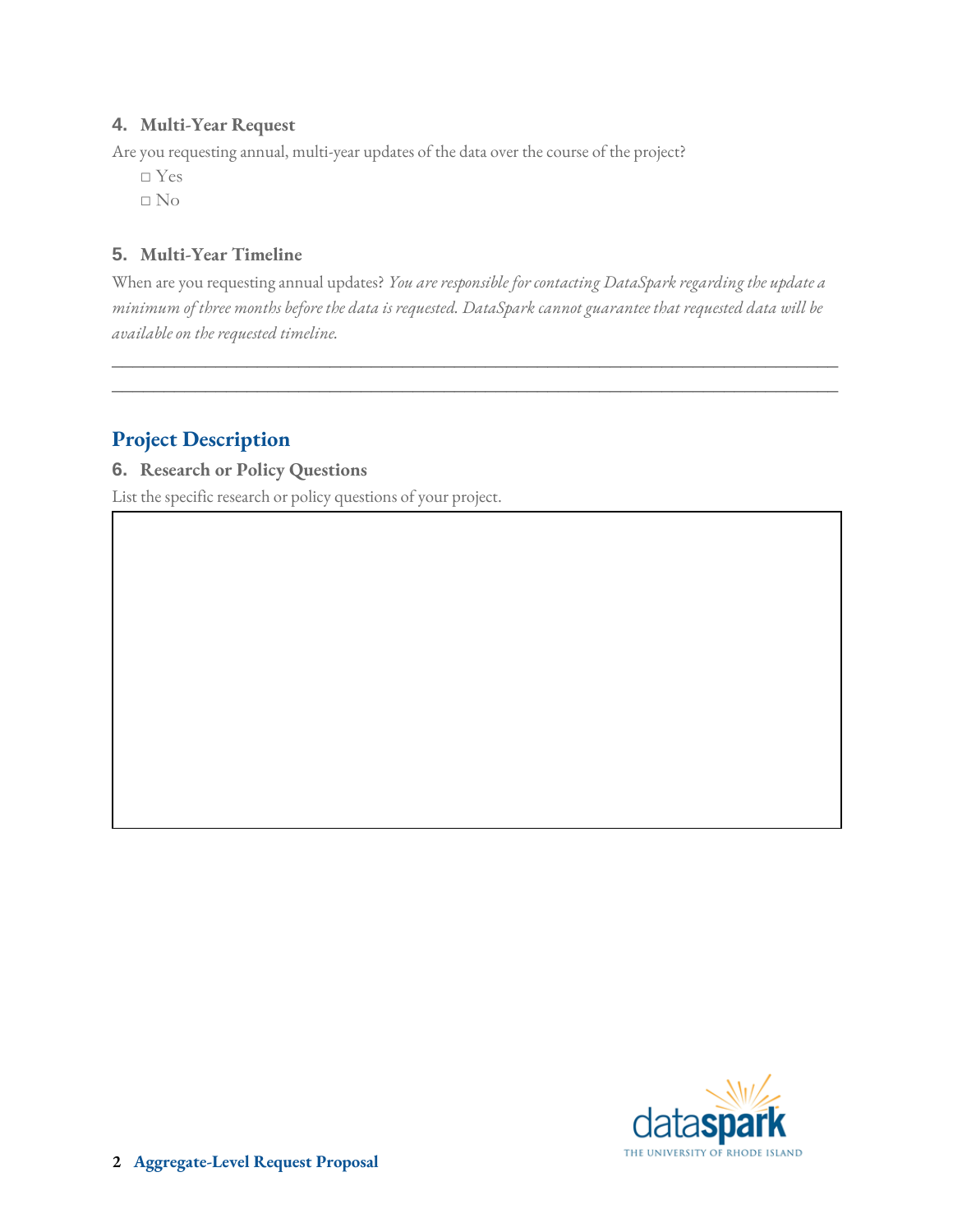#### **4. Multi-Year Request**

Are you requesting annual, multi-year updates of the data over the course of the project?

- □ Yes
- □ No

#### **5. Multi-Year Timeline**

When are you requesting annual updates? *You are responsible for contacting DataSpark regarding the update a minimum of three months before the data is requested. DataSpark cannot guarantee that requested data will be available on the requested timeline.* 

\_\_\_\_\_\_\_\_\_\_\_\_\_\_\_\_\_\_\_\_\_\_\_\_\_\_\_\_\_\_\_\_\_\_\_\_\_\_\_\_\_\_\_\_\_\_\_\_\_\_\_\_\_\_\_\_\_\_\_\_\_\_\_\_\_\_\_\_\_\_ \_\_\_\_\_\_\_\_\_\_\_\_\_\_\_\_\_\_\_\_\_\_\_\_\_\_\_\_\_\_\_\_\_\_\_\_\_\_\_\_\_\_\_\_\_\_\_\_\_\_\_\_\_\_\_\_\_\_\_\_\_\_\_\_\_\_\_\_\_\_

## **Project Description**

**6. Research or Policy Questions**

List the specific research or policy questions of your project.

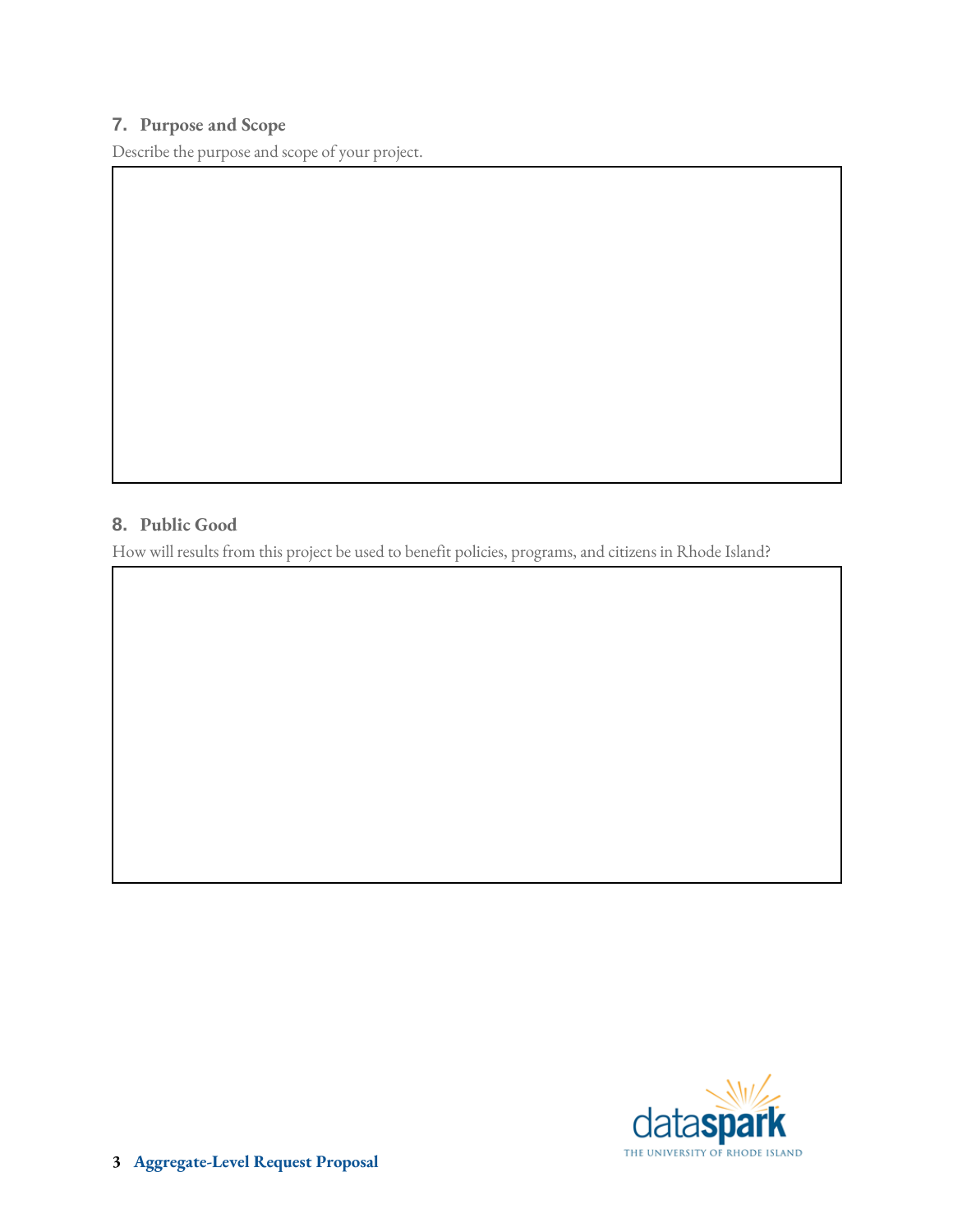#### **7. Purpose and Scope**

Describe the purpose and scope of your project.

#### **8. Public Good**

How will results from this project be used to benefit policies, programs, and citizens in Rhode Island?